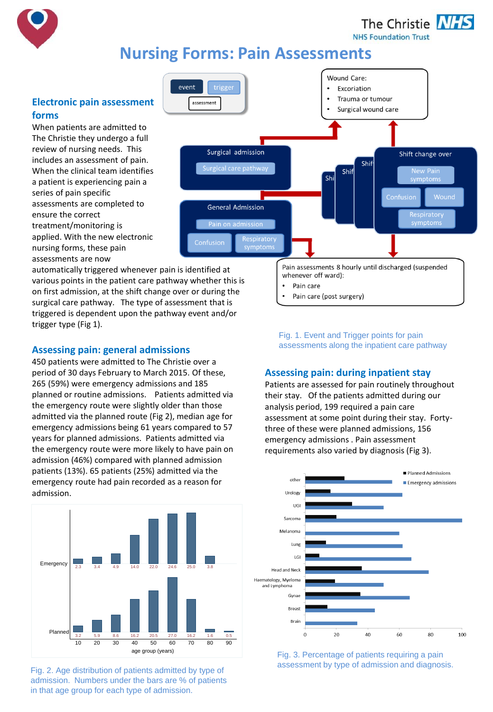

The Christie **NHS** 

**NHS Foundation Trust** 

# **Nursing Forms: Pain Assessments**

# **Electronic pain assessment forms**

When patients are admitted to The Christie they undergo a full review of nursing needs. This includes an assessment of pain. When the clinical team identifies a patient is experiencing pain a series of pain specific assessments are completed to ensure the correct treatment/monitoring is applied. With the new electronic nursing forms, these pain assessments are now



whenever off ward): Pain care

Pain care (post surgery)

automatically triggered whenever pain is identified at various points in the patient care pathway whether this is on first admission, at the shift change over or during the surgical care pathway. The type of assessment that is triggered is dependent upon the pathway event and/or trigger type (Fig 1).

# **Assessing pain: general admissions**

450 patients were admitted to The Christie over a period of 30 days February to March 2015. Of these, 265 (59%) were emergency admissions and 185 planned or routine admissions. Patients admitted via the emergency route were slightly older than those admitted via the planned route (Fig 2), median age for emergency admissions being 61 years compared to 57 years for planned admissions. Patients admitted via the emergency route were more likely to have pain on admission (46%) compared with planned admission patients (13%). 65 patients (25%) admitted via the emergency route had pain recorded as a reason for admission.



Fig. 2. Age distribution of patients admitted by type of admission. Numbers under the bars are % of patients in that age group for each type of admission.

Fig. 1. Event and Trigger points for pain assessments along the inpatient care pathway

Pain assessments 8 hourly until discharged (suspended

## **Assessing pain: during inpatient stay**

Patients are assessed for pain routinely throughout their stay. Of the patients admitted during our analysis period, 199 required a pain care assessment at some point during their stay. Fortythree of these were planned admissions, 156 emergency admissions . Pain assessment requirements also varied by diagnosis (Fig 3).



Fig. 3. Percentage of patients requiring a pain assessment by type of admission and diagnosis.